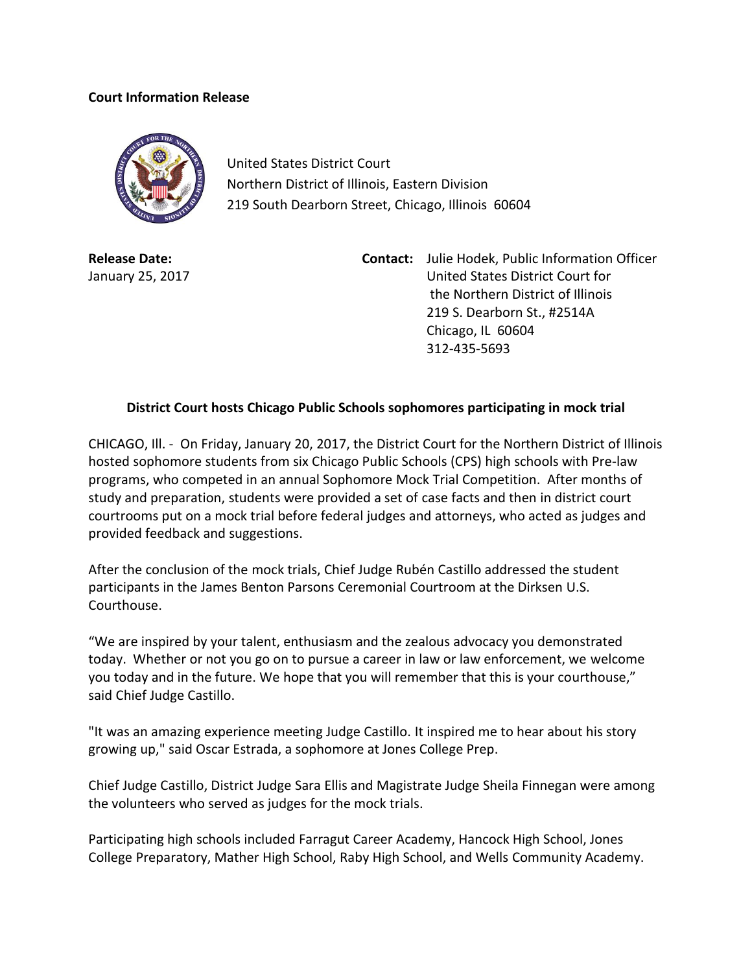## **Court Information Release**



United States District Court Northern District of Illinois, Eastern Division 219 South Dearborn Street, Chicago, Illinois 60604

**Release Date:** January 25, 2017

**Contact:** Julie Hodek, Public Information Officer United States District Court for the Northern District of Illinois 219 S. Dearborn St., #2514A Chicago, IL 60604 312-435-5693

## **District Court hosts Chicago Public Schools sophomores participating in mock trial**

CHICAGO, Ill. - On Friday, January 20, 2017, the District Court for the Northern District of Illinois hosted sophomore students from six Chicago Public Schools (CPS) high schools with Pre-law programs, who competed in an annual Sophomore Mock Trial Competition. After months of study and preparation, students were provided a set of case facts and then in district court courtrooms put on a mock trial before federal judges and attorneys, who acted as judges and provided feedback and suggestions.

After the conclusion of the mock trials, Chief Judge Rubén Castillo addressed the student participants in the James Benton Parsons Ceremonial Courtroom at the Dirksen U.S. Courthouse.

"We are inspired by your talent, enthusiasm and the zealous advocacy you demonstrated today. Whether or not you go on to pursue a career in law or law enforcement, we welcome you today and in the future. We hope that you will remember that this is your courthouse," said Chief Judge Castillo.

"It was an amazing experience meeting Judge Castillo. It inspired me to hear about his story growing up," said Oscar Estrada, a sophomore at Jones College Prep.

Chief Judge Castillo, District Judge Sara Ellis and Magistrate Judge Sheila Finnegan were among the volunteers who served as judges for the mock trials.

Participating high schools included Farragut Career Academy, Hancock High School, Jones College Preparatory, Mather High School, Raby High School, and Wells Community Academy.